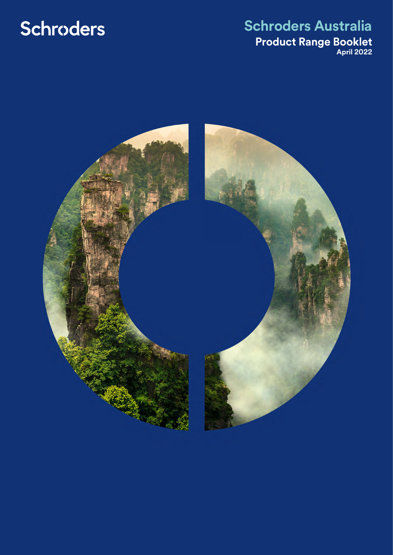# Schroders

### **Schroders Australia Product Range Booklet April 2022**

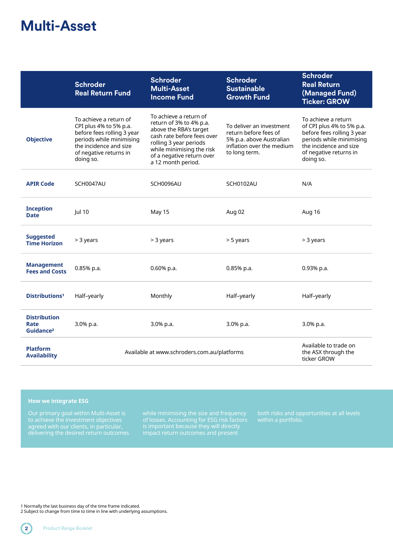### **Multi-Asset**

|                                                      | <b>Schroder</b><br><b>Real Return Fund</b>                                                                                                                                  | <b>Schroder</b><br><b>Multi-Asset</b><br><b>Income Fund</b>                                                                                                                                                         | <b>Schroder</b><br><b>Sustainable</b><br><b>Growth Fund</b>                                                                 | <b>Schroder</b><br><b>Real Return</b><br>(Managed Fund)<br><b>Ticker: GROW</b>                                                                                              |
|------------------------------------------------------|-----------------------------------------------------------------------------------------------------------------------------------------------------------------------------|---------------------------------------------------------------------------------------------------------------------------------------------------------------------------------------------------------------------|-----------------------------------------------------------------------------------------------------------------------------|-----------------------------------------------------------------------------------------------------------------------------------------------------------------------------|
| <b>Objective</b>                                     | To achieve a return of<br>CPI plus 4% to 5% p.a.<br>before fees rolling 3 year<br>periods while minimising<br>the incidence and size<br>of negative returns in<br>doing so. | To achieve a return of<br>return of 3% to 4% p.a.<br>above the RBA's target<br>cash rate before fees over<br>rolling 3 year periods<br>while minimising the risk<br>of a negative return over<br>a 12 month period. | To deliver an investment<br>return before fees of<br>5% p.a. above Australian<br>inflation over the medium<br>to long term. | To achieve a return<br>of CPI plus 4% to 5% p.a.<br>before fees rolling 3 year<br>periods while minimising<br>the incidence and size<br>of negative returns in<br>doing so. |
| <b>APIR Code</b>                                     | SCH0047AU                                                                                                                                                                   | SCH0096AU                                                                                                                                                                                                           | SCH0102AU                                                                                                                   | N/A                                                                                                                                                                         |
| <b>Inception</b><br><b>Date</b>                      | Jul 10                                                                                                                                                                      | May 15                                                                                                                                                                                                              | Aug 02                                                                                                                      | Aug 16                                                                                                                                                                      |
| <b>Suggested</b><br><b>Time Horizon</b>              | > 3 years                                                                                                                                                                   | > 3 years                                                                                                                                                                                                           | > 5 years                                                                                                                   | > 3 years                                                                                                                                                                   |
| <b>Management</b><br><b>Fees and Costs</b>           | 0.85% p.a.                                                                                                                                                                  | $0.60\%$ p.a.                                                                                                                                                                                                       | $0.85%$ p.a.                                                                                                                | $0.93%$ p.a.                                                                                                                                                                |
| <b>Distributions<sup>1</sup></b>                     | Half-yearly                                                                                                                                                                 | Monthly                                                                                                                                                                                                             | Half-yearly                                                                                                                 | Half-yearly                                                                                                                                                                 |
| <b>Distribution</b><br>Rate<br>Guidance <sup>2</sup> | 3.0% p.a.                                                                                                                                                                   | 3.0% p.a.                                                                                                                                                                                                           | 3.0% p.a.                                                                                                                   | 3.0% p.a.                                                                                                                                                                   |
| <b>Platform</b><br><b>Availability</b>               |                                                                                                                                                                             | Available at www.schroders.com.au/platforms                                                                                                                                                                         |                                                                                                                             |                                                                                                                                                                             |

#### **How we integrate ESG**

Our primary goal within Multi-Asset is

of losses. Accounting for ESG risk factors

1 Normally the last business day of the time frame indicated.

2 Subject to change from time to time in line with underlying assumptions.

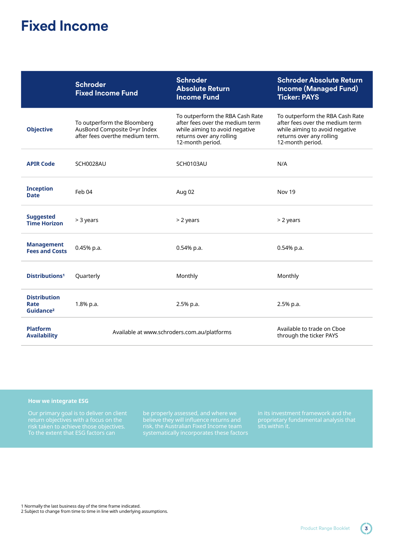### **Fixed Income**

|                                                      | <b>Schroder</b><br><b>Fixed Income Fund</b>                                                    | <b>Schroder</b><br><b>Absolute Return</b><br><b>Income Fund</b>                                                                                      | <b>Schroder Absolute Return</b><br><b>Income (Managed Fund)</b><br><b>Ticker: PAYS</b>                                                               |
|------------------------------------------------------|------------------------------------------------------------------------------------------------|------------------------------------------------------------------------------------------------------------------------------------------------------|------------------------------------------------------------------------------------------------------------------------------------------------------|
| <b>Objective</b>                                     | To outperform the Bloomberg<br>AusBond Composite 0+yr Index<br>after fees overthe medium term. | To outperform the RBA Cash Rate<br>after fees over the medium term<br>while aiming to avoid negative<br>returns over any rolling<br>12-month period. | To outperform the RBA Cash Rate<br>after fees over the medium term<br>while aiming to avoid negative<br>returns over any rolling<br>12-month period. |
| <b>APIR Code</b>                                     | SCH0028AU                                                                                      | SCH0103AU                                                                                                                                            | N/A                                                                                                                                                  |
| <b>Inception</b><br><b>Date</b>                      | Feb 04                                                                                         | Aug 02                                                                                                                                               | Nov 19                                                                                                                                               |
| <b>Suggested</b><br><b>Time Horizon</b>              | $>$ 3 years                                                                                    | $>$ 2 years                                                                                                                                          | $>$ 2 years                                                                                                                                          |
| <b>Management</b><br><b>Fees and Costs</b>           | $0.45%$ p.a.                                                                                   | 0.54% p.a.                                                                                                                                           | 0.54% p.a.                                                                                                                                           |
| Distributions <sup>1</sup>                           | Quarterly                                                                                      | Monthly                                                                                                                                              | Monthly                                                                                                                                              |
| <b>Distribution</b><br>Rate<br>Guidance <sup>2</sup> | 1.8% p.a.                                                                                      | 2.5% p.a.                                                                                                                                            | 2.5% p.a.                                                                                                                                            |
| <b>Platform</b><br><b>Availability</b>               |                                                                                                | Available at www.schroders.com.au/platforms                                                                                                          | Available to trade on Cboe<br>through the ticker PAYS                                                                                                |

#### **How we integrate ESG**

To the extent that ESG factors can

be properly assessed, and where we believe they will influence returns and

1 Normally the last business day of the time frame indicated.

2 Subject to change from time to time in line with underlying assumptions.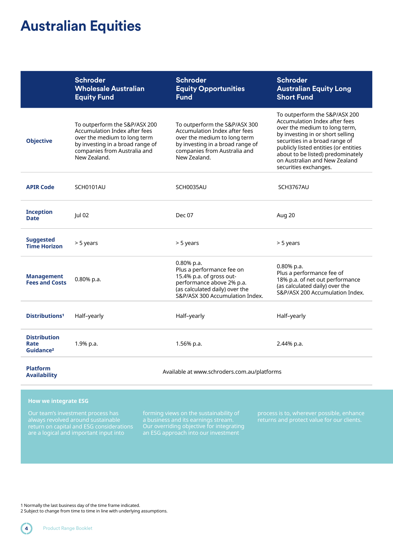### **Australian Equities**

|                                                      | <b>Schroder</b><br><b>Wholesale Australian</b><br><b>Equity Fund</b>                                                                                                               | <b>Schroder</b><br><b>Equity Opportunities</b><br><b>Fund</b>                                                                                                                      | <b>Schroder</b><br><b>Australian Equity Long</b><br><b>Short Fund</b>                                                                                                                                                                                                                                         |
|------------------------------------------------------|------------------------------------------------------------------------------------------------------------------------------------------------------------------------------------|------------------------------------------------------------------------------------------------------------------------------------------------------------------------------------|---------------------------------------------------------------------------------------------------------------------------------------------------------------------------------------------------------------------------------------------------------------------------------------------------------------|
| <b>Objective</b>                                     | To outperform the S&P/ASX 200<br>Accumulation Index after fees<br>over the medium to long term<br>by investing in a broad range of<br>companies from Australia and<br>New Zealand. | To outperform the S&P/ASX 300<br>Accumulation Index after fees<br>over the medium to long term<br>by investing in a broad range of<br>companies from Australia and<br>New Zealand. | To outperform the S&P/ASX 200<br>Accumulation Index after fees<br>over the medium to long term,<br>by investing in or short selling<br>securities in a broad range of<br>publicly listed entities (or entities<br>about to be listed) predominately<br>on Australian and New Zealand<br>securities exchanges. |
| <b>APIR Code</b>                                     | SCH0101AU                                                                                                                                                                          | SCH0035AU                                                                                                                                                                          | SCH3767AU                                                                                                                                                                                                                                                                                                     |
| <b>Inception</b><br><b>Date</b>                      | Jul 02                                                                                                                                                                             | Dec 07                                                                                                                                                                             | Aug 20                                                                                                                                                                                                                                                                                                        |
| <b>Suggested</b><br><b>Time Horizon</b>              | > 5 years                                                                                                                                                                          | > 5 years                                                                                                                                                                          | > 5 years                                                                                                                                                                                                                                                                                                     |
| <b>Management</b><br><b>Fees and Costs</b>           | 0.80% p.a.                                                                                                                                                                         | 0.80% p.a.<br>Plus a performance fee on<br>15.4% p.a. of gross out-<br>performance above 2% p.a.<br>(as calculated daily) over the<br>S&P/ASX 300 Accumulation Index.              | $0.80\%$ p.a.<br>Plus a performance fee of<br>18% p.a. of net out performance<br>(as calculated daily) over the<br>S&P/ASX 200 Accumulation Index.                                                                                                                                                            |
| Distributions <sup>1</sup>                           | Half-yearly                                                                                                                                                                        | Half-yearly                                                                                                                                                                        | Half-yearly                                                                                                                                                                                                                                                                                                   |
| <b>Distribution</b><br>Rate<br>Guidance <sup>2</sup> | 1.9% p.a.                                                                                                                                                                          | 1.56% p.a.                                                                                                                                                                         | 2.44% p.a.                                                                                                                                                                                                                                                                                                    |
| <b>Platform</b><br><b>Availability</b>               | Available at www.schroders.com.au/platforms                                                                                                                                        |                                                                                                                                                                                    |                                                                                                                                                                                                                                                                                                               |

#### **How we integrate ESG**

Our team's investment process has return on capital and ESG considerations Our overriding objective for integrating an ESG approach into our investment

1 Normally the last business day of the time frame indicated.

2 Subject to change from time to time in line with underlying assumptions.

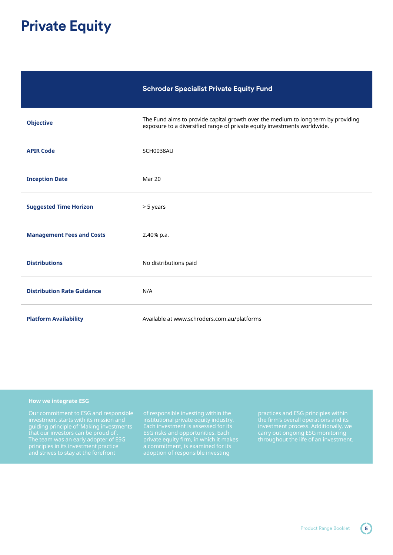## **Private Equity**

|  | <b>Schroder Specialist Private Equity Fund</b> |  |
|--|------------------------------------------------|--|
|--|------------------------------------------------|--|

| <b>Objective</b>                  | The Fund aims to provide capital growth over the medium to long term by providing<br>exposure to a diversified range of private equity investments worldwide. |
|-----------------------------------|---------------------------------------------------------------------------------------------------------------------------------------------------------------|
| <b>APIR Code</b>                  | SCH0038AU                                                                                                                                                     |
| <b>Inception Date</b>             | Mar 20                                                                                                                                                        |
| <b>Suggested Time Horizon</b>     | > 5 years                                                                                                                                                     |
| <b>Management Fees and Costs</b>  | 2.40% p.a.                                                                                                                                                    |
| <b>Distributions</b>              | No distributions paid                                                                                                                                         |
| <b>Distribution Rate Guidance</b> | N/A                                                                                                                                                           |
| <b>Platform Availability</b>      | Available at www.schroders.com.au/platforms                                                                                                                   |

#### **How we integrate ESG**

guiding principle of 'Making investments The team was an early adopter of ESG principles in its investment practice

ESG risks and opportunities. Each

practices and ESG principles within investment process. Additionally, we carry out ongoing ESG monitoring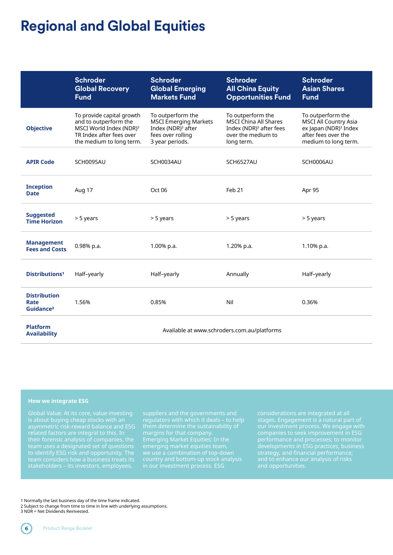### **Regional and Global Equities**

|                                                      | <b>Schroder</b><br><b>Global Recovery</b><br><b>Fund</b>                                                                                          | <b>Schroder</b><br><b>Global Emerging</b><br><b>Markets Fund</b>                                                            | Schroder<br><b>All China Equity</b><br><b>Opportunities Fund</b>                                                             | <b>Schroder</b><br><b>Asian Shares</b><br><b>Fund</b>                                                                                 |
|------------------------------------------------------|---------------------------------------------------------------------------------------------------------------------------------------------------|-----------------------------------------------------------------------------------------------------------------------------|------------------------------------------------------------------------------------------------------------------------------|---------------------------------------------------------------------------------------------------------------------------------------|
| <b>Objective</b>                                     | To provide capital growth<br>and to outperform the<br>MSCI World Index (NDR) <sup>3</sup><br>TR Index after fees over<br>the medium to long term. | To outperform the<br><b>MSCI Emerging Markets</b><br>Index (NDR) <sup>3</sup> after<br>fees over rolling<br>3 year periods. | To outperform the<br><b>MSCI China All Shares</b><br>Index (NDR) <sup>3</sup> after fees<br>over the medium to<br>long term. | To outperform the<br><b>MSCI All Country Asia</b><br>ex Japan (NDR) <sup>3</sup> Index<br>after fees over the<br>medium to long term. |
| <b>APIR Code</b>                                     | SCH0095AU                                                                                                                                         | SCH0034AU                                                                                                                   | SCH6527AU                                                                                                                    | SCH0006AU                                                                                                                             |
| <b>Inception</b><br><b>Date</b>                      | Aug 17                                                                                                                                            | Oct 06                                                                                                                      | Feb <sub>21</sub>                                                                                                            | Apr 95                                                                                                                                |
| <b>Suggested</b><br><b>Time Horizon</b>              | > 5 years                                                                                                                                         | > 5 years                                                                                                                   | > 5 years                                                                                                                    | > 5 years                                                                                                                             |
| <b>Management</b><br><b>Fees and Costs</b>           | 0.98% p.a.                                                                                                                                        | 1.00% p.a.                                                                                                                  | 1.20% p.a.                                                                                                                   | 1.10% p.a.                                                                                                                            |
| <b>Distributions<sup>1</sup></b>                     | Half-yearly                                                                                                                                       | Half-yearly                                                                                                                 | Annually                                                                                                                     | Half-yearly                                                                                                                           |
| <b>Distribution</b><br>Rate<br>Guidance <sup>2</sup> | 1.56%                                                                                                                                             | 0.85%                                                                                                                       | Nil                                                                                                                          | 0.36%                                                                                                                                 |
| <b>Platform</b><br><b>Availability</b>               | Available at www.schroders.com.au/platforms                                                                                                       |                                                                                                                             |                                                                                                                              |                                                                                                                                       |

#### **How we integrate ESG**

asymmetric risk-reward balance and ESG to identify ESG risk and opportunity. The

in our investment process. ESG

stages. Engagement is a natural part of our investment process. We engage with companies to seek improvement in ESG developments in ESG practices, business

1 Normally the last business day of the time frame indicated.

<sup>2</sup> Subject to change from time to time in line with underlying assumptions. 3 NDR = Net Dividends Reinvested.

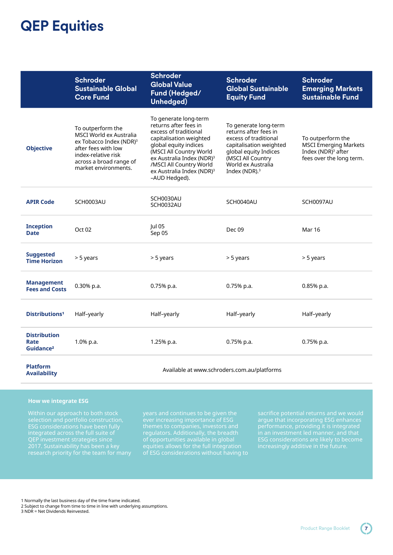### **QEP Equities**

|                                                      | <b>Schroder</b><br><b>Sustainable Global</b><br><b>Core Fund</b>                                                                                                                     | <b>Schroder</b><br><b>Global Value</b><br>Fund (Hedged/<br>Unhedged)                                                                                                                                                                                                                 | <b>Schroder</b><br><b>Global Sustainable</b><br><b>Equity Fund</b>                                                                                                                                  | <b>Schroder</b><br><b>Emerging Markets</b><br><b>Sustainable Fund</b>                                  |
|------------------------------------------------------|--------------------------------------------------------------------------------------------------------------------------------------------------------------------------------------|--------------------------------------------------------------------------------------------------------------------------------------------------------------------------------------------------------------------------------------------------------------------------------------|-----------------------------------------------------------------------------------------------------------------------------------------------------------------------------------------------------|--------------------------------------------------------------------------------------------------------|
| <b>Objective</b>                                     | To outperform the<br>MSCI World ex Australia<br>ex Tobacco Index (NDR) <sup>3</sup><br>after fees with low<br>index-relative risk<br>across a broad range of<br>market environments. | To generate long-term<br>returns after fees in<br>excess of traditional<br>capitalisation weighted<br>global equity indices<br>(MSCI All Country World<br>ex Australia Index (NDR) <sup>3</sup><br>/MSCI All Country World<br>ex Australia Index (NDR) <sup>3</sup><br>-AUD Hedged). | To generate long-term<br>returns after fees in<br>excess of traditional<br>capitalisation weighted<br>global equity Indices<br>(MSCI All Country<br>World ex Australia<br>Index (NDR). <sup>3</sup> | To outperform the<br><b>MSCI Emerging Markets</b><br>Index (NDR) $3$ after<br>fees over the long term. |
| <b>APIR Code</b>                                     | SCH0003AU                                                                                                                                                                            | SCH0030AU<br>SCH0032AU                                                                                                                                                                                                                                                               | SCH0040AU                                                                                                                                                                                           | SCH0097AU                                                                                              |
| <b>Inception</b><br><b>Date</b>                      | Oct <sub>02</sub>                                                                                                                                                                    | Jul 05<br>Sep 05                                                                                                                                                                                                                                                                     | Dec 09                                                                                                                                                                                              | <b>Mar 16</b>                                                                                          |
| <b>Suggested</b><br><b>Time Horizon</b>              | > 5 years                                                                                                                                                                            | > 5 years                                                                                                                                                                                                                                                                            | > 5 years                                                                                                                                                                                           | > 5 years                                                                                              |
| <b>Management</b><br><b>Fees and Costs</b>           | 0.30% p.a.                                                                                                                                                                           | 0.75% p.a.                                                                                                                                                                                                                                                                           | 0.75% p.a.                                                                                                                                                                                          | 0.85% p.a.                                                                                             |
| <b>Distributions<sup>1</sup></b>                     | Half-yearly                                                                                                                                                                          | Half-yearly                                                                                                                                                                                                                                                                          | Half-yearly                                                                                                                                                                                         | Half-yearly                                                                                            |
| <b>Distribution</b><br>Rate<br>Guidance <sup>2</sup> | $1.0\%$ p.a.                                                                                                                                                                         | 1.25% p.a.                                                                                                                                                                                                                                                                           | $0.75%$ p.a.                                                                                                                                                                                        | $0.75%$ p.a.                                                                                           |
| <b>Platform</b><br><b>Availability</b>               | Available at www.schroders.com.au/platforms                                                                                                                                          |                                                                                                                                                                                                                                                                                      |                                                                                                                                                                                                     |                                                                                                        |

#### **How we integrate ESG**

ESG considerations have been fully QEP investment strategies since 2017. Sustainability has been a key regulators. Additionally, the breadth of ESG considerations without having to ESG considerations are likely to become increasingly additive in the future.

1 Normally the last business day of the time frame indicated.

- 2 Subject to change from time to time in line with underlying assumptions.
- 3 NDR = Net Dividends Reinvested.